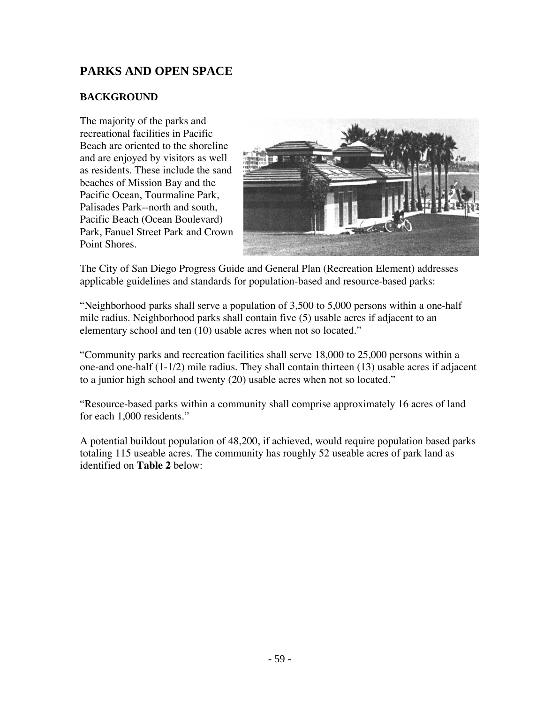# **PARKS AND OPEN SPACE**

## **BACKGROUND**

The majority of the parks and recreational facilities in Pacific Beach are oriented to the shoreline and are enjoyed by visitors as well as residents. These include the sand beaches of Mission Bay and the Pacific Ocean, Tourmaline Park, Palisades Park--north and south, Pacific Beach (Ocean Boulevard) Park, Fanuel Street Park and Crown Point Shores.



The City of San Diego Progress Guide and General Plan (Recreation Element) addresses applicable guidelines and standards for population-based and resource-based parks:

"Neighborhood parks shall serve a population of 3,500 to 5,000 persons within a one-half mile radius. Neighborhood parks shall contain five (5) usable acres if adjacent to an elementary school and ten (10) usable acres when not so located."

"Community parks and recreation facilities shall serve 18,000 to 25,000 persons within a one-and one-half  $(1-1/2)$  mile radius. They shall contain thirteen  $(13)$  usable acres if adjacent to a junior high school and twenty (20) usable acres when not so located."

"Resource-based parks within a community shall comprise approximately 16 acres of land for each 1,000 residents."

A potential buildout population of 48,200, if achieved, would require population based parks totaling 115 useable acres. The community has roughly 52 useable acres of park land as identified on **Table 2** below: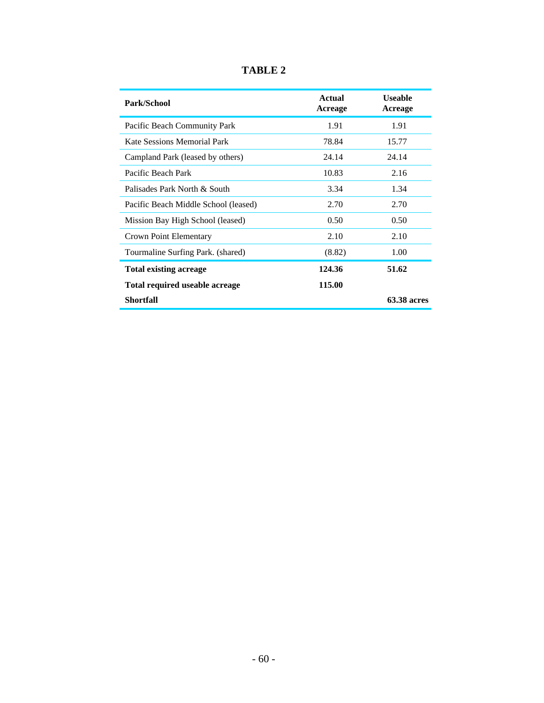| Park/School                          | <b>Actual</b><br>Acreage | <b>Useable</b><br>Acreage |  |  |
|--------------------------------------|--------------------------|---------------------------|--|--|
| Pacific Beach Community Park         | 1.91                     | 1.91                      |  |  |
| Kate Sessions Memorial Park          | 78.84                    | 15.77                     |  |  |
| Campland Park (leased by others)     | 24.14                    | 24.14                     |  |  |
| Pacific Beach Park                   | 10.83                    | 2.16                      |  |  |
| Palisades Park North & South         | 3.34                     | 1.34                      |  |  |
| Pacific Beach Middle School (leased) | 2.70                     | 2.70                      |  |  |
| Mission Bay High School (leased)     | 0.50                     | 0.50                      |  |  |
| Crown Point Elementary               | 2.10                     | 2.10                      |  |  |
| Tourmaline Surfing Park. (shared)    | (8.82)                   | 1.00                      |  |  |
| <b>Total existing acreage</b>        | 124.36                   | 51.62                     |  |  |
| Total required useable acreage       | 115.00                   |                           |  |  |
| <b>Shortfall</b>                     |                          | <b>63.38 acres</b>        |  |  |

**TABLE 2**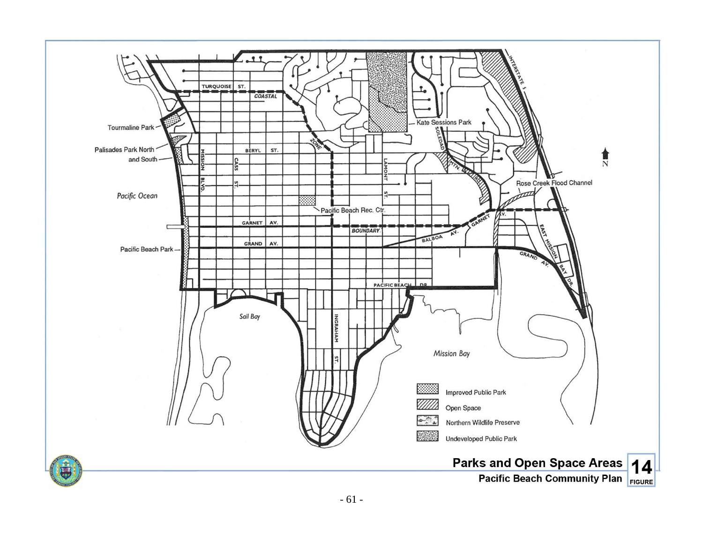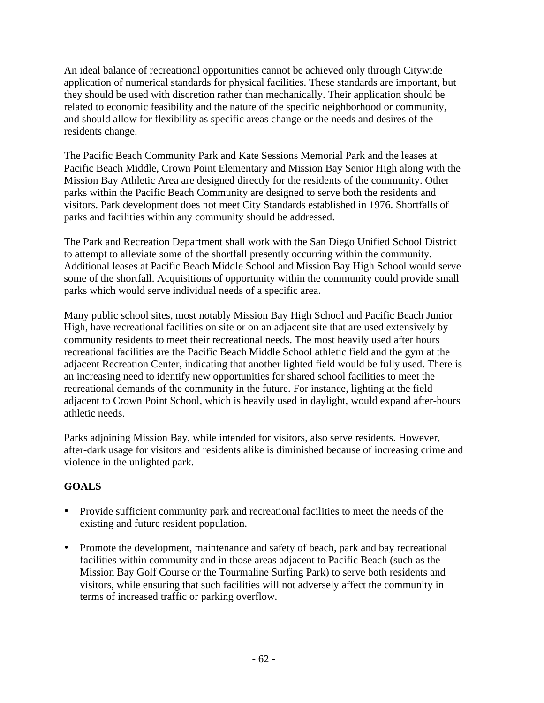An ideal balance of recreational opportunities cannot be achieved only through Citywide application of numerical standards for physical facilities. These standards are important, but they should be used with discretion rather than mechanically. Their application should be related to economic feasibility and the nature of the specific neighborhood or community, and should allow for flexibility as specific areas change or the needs and desires of the residents change.

The Pacific Beach Community Park and Kate Sessions Memorial Park and the leases at Pacific Beach Middle, Crown Point Elementary and Mission Bay Senior High along with the Mission Bay Athletic Area are designed directly for the residents of the community. Other parks within the Pacific Beach Community are designed to serve both the residents and visitors. Park development does not meet City Standards established in 1976. Shortfalls of parks and facilities within any community should be addressed.

The Park and Recreation Department shall work with the San Diego Unified School District to attempt to alleviate some of the shortfall presently occurring within the community. Additional leases at Pacific Beach Middle School and Mission Bay High School would serve some of the shortfall. Acquisitions of opportunity within the community could provide small parks which would serve individual needs of a specific area.

Many public school sites, most notably Mission Bay High School and Pacific Beach Junior High, have recreational facilities on site or on an adjacent site that are used extensively by community residents to meet their recreational needs. The most heavily used after hours recreational facilities are the Pacific Beach Middle School athletic field and the gym at the adjacent Recreation Center, indicating that another lighted field would be fully used. There is an increasing need to identify new opportunities for shared school facilities to meet the recreational demands of the community in the future. For instance, lighting at the field adjacent to Crown Point School, which is heavily used in daylight, would expand after-hours athletic needs.

Parks adjoining Mission Bay, while intended for visitors, also serve residents. However, after-dark usage for visitors and residents alike is diminished because of increasing crime and violence in the unlighted park.

## **GOALS**

- Provide sufficient community park and recreational facilities to meet the needs of the existing and future resident population.
- Promote the development, maintenance and safety of beach, park and bay recreational facilities within community and in those areas adjacent to Pacific Beach (such as the Mission Bay Golf Course or the Tourmaline Surfing Park) to serve both residents and visitors, while ensuring that such facilities will not adversely affect the community in terms of increased traffic or parking overflow.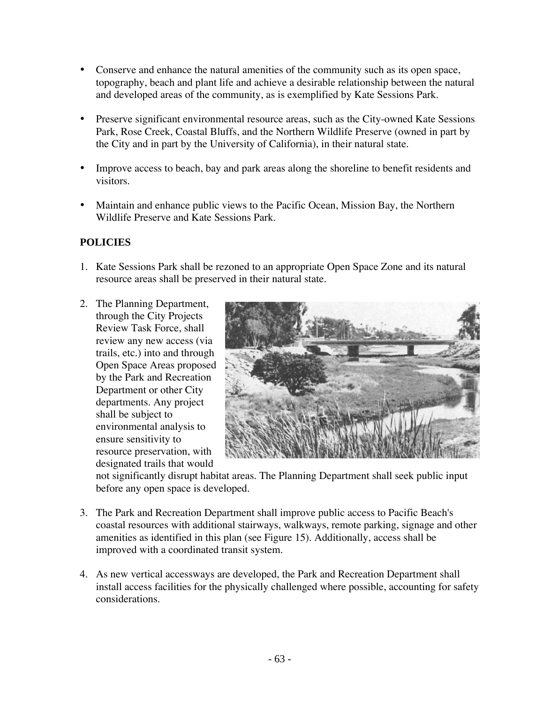- Conserve and enhance the natural amenities of the community such as its open space, topography, beach and plant life and achieve a desirable relationship between the natural and developed areas of the community, as is exemplified by Kate Sessions Park.
- Preserve significant environmental resource areas, such as the City-owned Kate Sessions Park, Rose Creek, Coastal Bluffs, and the Northern Wildlife Preserve (owned in part by the City and in part by the University of California), in their natural state.
- Improve access to beach, bay and park areas along the shoreline to benefit residents and visitors.
- Maintain and enhance public views to the Pacific Ocean, Mission Bay, the Northern Wildlife Preserve and Kate Sessions Park.

## **POLICIES**

- 1. Kate Sessions Park shall be rezoned to an appropriate Open Space Zone and its natural resource areas shall be preserved in their natural state.
- 2. The Planning Department, through the City Projects Review Task Force, shall review any new access (via trails, etc.) into and through Open Space Areas proposed by the Park and Recreation Department or other City departments. Any project shall be subject to environmental analysis to ensure sensitivity to resource preservation, with designated trails that would



not significantly disrupt habitat areas. The Planning Department shall seek public input before any open space is developed.

- 3. The Park and Recreation Department shall improve public access to Pacific Beach's coastal resources with additional stairways, walkways, remote parking, signage and other amenities as identified in this plan (see Figure 15). Additionally, access shall be improved with a coordinated transit system.
- 4. As new vertical accessways are developed, the Park and Recreation Department shall install access facilities for the physically challenged where possible, accounting for safety considerations.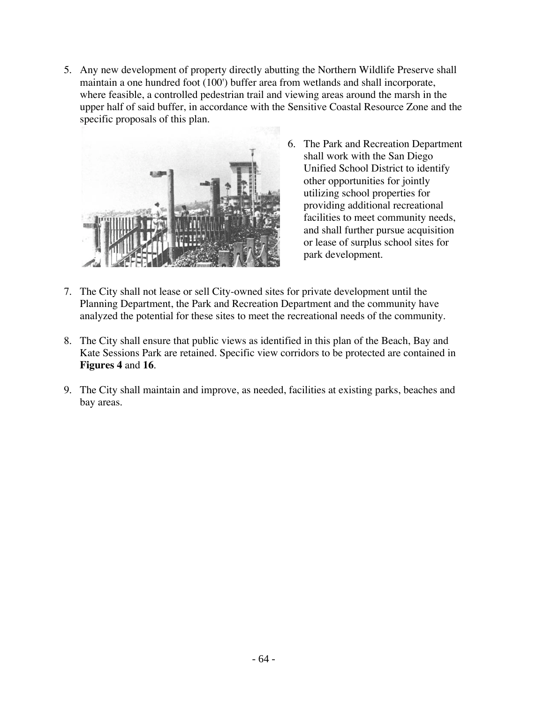5. Any new development of property directly abutting the Northern Wildlife Preserve shall maintain a one hundred foot (100') buffer area from wetlands and shall incorporate, where feasible, a controlled pedestrian trail and viewing areas around the marsh in the upper half of said buffer, in accordance with the Sensitive Coastal Resource Zone and the specific proposals of this plan.



- 6. The Park and Recreation Department shall work with the San Diego Unified School District to identify other opportunities for jointly utilizing school properties for providing additional recreational facilities to meet community needs, and shall further pursue acquisition or lease of surplus school sites for park development.
- 7. The City shall not lease or sell City-owned sites for private development until the Planning Department, the Park and Recreation Department and the community have analyzed the potential for these sites to meet the recreational needs of the community.
- 8. The City shall ensure that public views as identified in this plan of the Beach, Bay and Kate Sessions Park are retained. Specific view corridors to be protected are contained in **Figures 4** and **16**.
- 9. The City shall maintain and improve, as needed, facilities at existing parks, beaches and bay areas.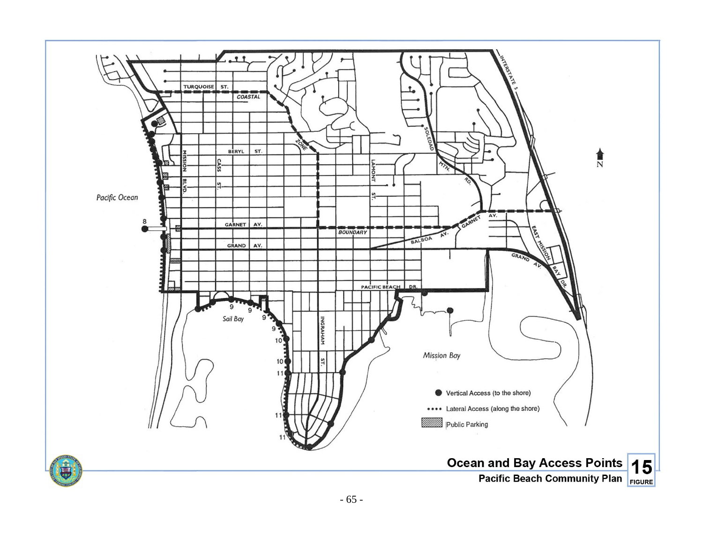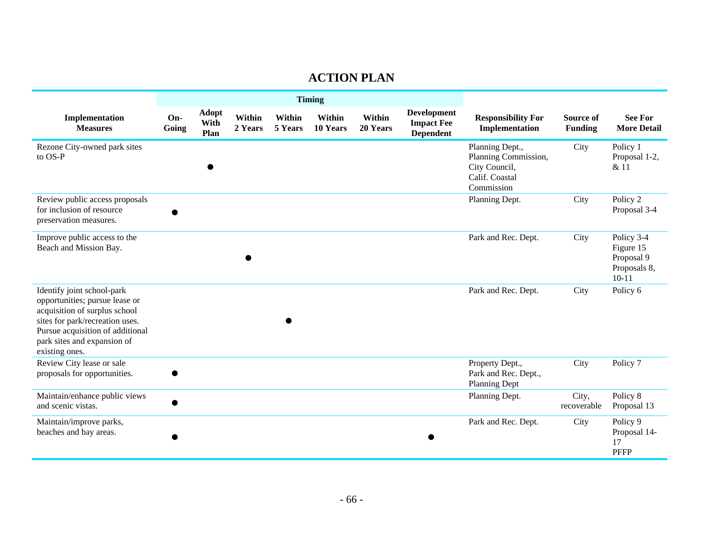# **ACTION PLAN**

|                                                                                                                                                                                                                       | <b>Timing</b> |                              |                   |                   |                    |                    |                                                             |                                                                                          |                             |                                                                    |
|-----------------------------------------------------------------------------------------------------------------------------------------------------------------------------------------------------------------------|---------------|------------------------------|-------------------|-------------------|--------------------|--------------------|-------------------------------------------------------------|------------------------------------------------------------------------------------------|-----------------------------|--------------------------------------------------------------------|
| Implementation<br><b>Measures</b>                                                                                                                                                                                     | On-<br>Going  | <b>Adopt</b><br>With<br>Plan | Within<br>2 Years | Within<br>5 Years | Within<br>10 Years | Within<br>20 Years | <b>Development</b><br><b>Impact Fee</b><br><b>Dependent</b> | <b>Responsibility For</b><br><b>Implementation</b>                                       | Source of<br><b>Funding</b> | <b>See For</b><br><b>More Detail</b>                               |
| Rezone City-owned park sites<br>to OS-P                                                                                                                                                                               |               |                              |                   |                   |                    |                    |                                                             | Planning Dept.,<br>Planning Commission,<br>City Council,<br>Calif. Coastal<br>Commission | City                        | Policy 1<br>Proposal 1-2,<br>& 11                                  |
| Review public access proposals<br>for inclusion of resource<br>preservation measures.                                                                                                                                 |               |                              |                   |                   |                    |                    |                                                             | Planning Dept.                                                                           | City                        | Policy 2<br>Proposal 3-4                                           |
| Improve public access to the<br>Beach and Mission Bay.                                                                                                                                                                |               |                              |                   |                   |                    |                    |                                                             | Park and Rec. Dept.                                                                      | City                        | Policy 3-4<br>Figure 15<br>Proposal 9<br>Proposals 8,<br>$10 - 11$ |
| Identify joint school-park<br>opportunities; pursue lease or<br>acquisition of surplus school<br>sites for park/recreation uses.<br>Pursue acquisition of additional<br>park sites and expansion of<br>existing ones. |               |                              |                   |                   |                    |                    |                                                             | Park and Rec. Dept.                                                                      | City                        | Policy 6                                                           |
| Review City lease or sale<br>proposals for opportunities.                                                                                                                                                             |               |                              |                   |                   |                    |                    |                                                             | Property Dept.,<br>Park and Rec. Dept.,<br><b>Planning Dept</b>                          | City                        | Policy 7                                                           |
| Maintain/enhance public views<br>and scenic vistas.                                                                                                                                                                   |               |                              |                   |                   |                    |                    |                                                             | Planning Dept.                                                                           | City,<br>recoverable        | Policy 8<br>Proposal 13                                            |
| Maintain/improve parks,<br>beaches and bay areas.                                                                                                                                                                     |               |                              |                   |                   |                    |                    |                                                             | Park and Rec. Dept.                                                                      | City                        | Policy 9<br>Proposal 14-<br>17<br><b>PFFP</b>                      |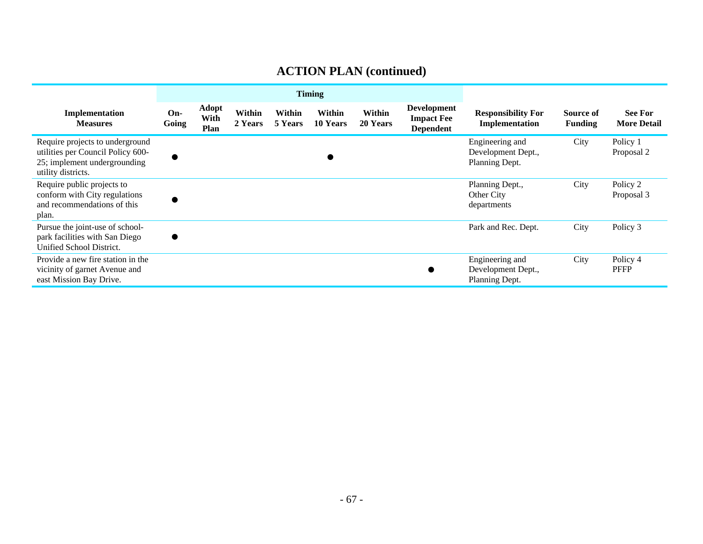# **ACTION PLAN (continued)**

|                                                                                                                            | <b>Timing</b>  |                       |                   |                   |                    |                    |                                                             |                                                         |                             |                                      |
|----------------------------------------------------------------------------------------------------------------------------|----------------|-----------------------|-------------------|-------------------|--------------------|--------------------|-------------------------------------------------------------|---------------------------------------------------------|-----------------------------|--------------------------------------|
| Implementation<br><b>Measures</b>                                                                                          | $On-$<br>Going | Adopt<br>With<br>Plan | Within<br>2 Years | Within<br>5 Years | Within<br>10 Years | Within<br>20 Years | <b>Development</b><br><b>Impact Fee</b><br><b>Dependent</b> | <b>Responsibility For</b><br>Implementation             | Source of<br><b>Funding</b> | <b>See For</b><br><b>More Detail</b> |
| Require projects to underground<br>utilities per Council Policy 600-<br>25; implement undergrounding<br>utility districts. |                |                       |                   |                   |                    |                    |                                                             | Engineering and<br>Development Dept.,<br>Planning Dept. | City                        | Policy 1<br>Proposal 2               |
| Require public projects to<br>conform with City regulations<br>and recommendations of this<br>plan.                        | e              |                       |                   |                   |                    |                    |                                                             | Planning Dept.,<br>Other City<br>departments            | City                        | Policy 2<br>Proposal 3               |
| Pursue the joint-use of school-<br>park facilities with San Diego<br>Unified School District.                              | $\bullet$      |                       |                   |                   |                    |                    |                                                             | Park and Rec. Dept.                                     | City                        | Policy 3                             |
| Provide a new fire station in the<br>vicinity of garnet Avenue and<br>east Mission Bay Drive.                              |                |                       |                   |                   |                    |                    |                                                             | Engineering and<br>Development Dept.,<br>Planning Dept. | City                        | Policy 4<br><b>PFFP</b>              |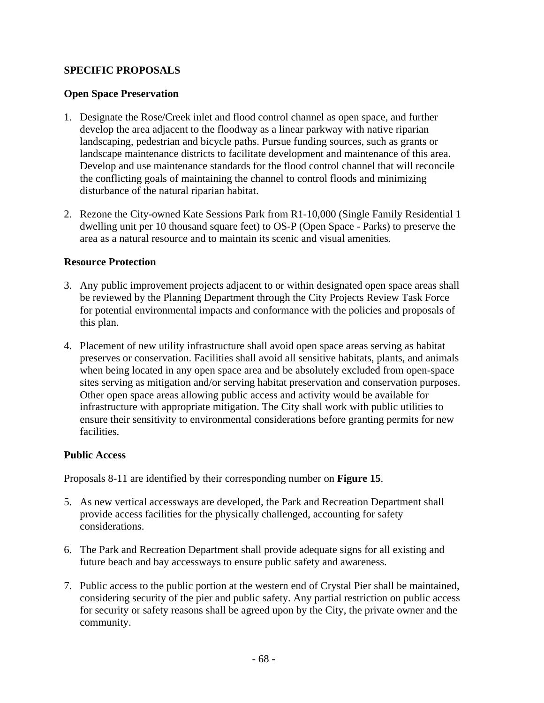## **SPECIFIC PROPOSALS**

#### **Open Space Preservation**

- 1. Designate the Rose/Creek inlet and flood control channel as open space, and further develop the area adjacent to the floodway as a linear parkway with native riparian landscaping, pedestrian and bicycle paths. Pursue funding sources, such as grants or landscape maintenance districts to facilitate development and maintenance of this area. Develop and use maintenance standards for the flood control channel that will reconcile the conflicting goals of maintaining the channel to control floods and minimizing disturbance of the natural riparian habitat.
- 2. Rezone the City-owned Kate Sessions Park from R1-10,000 (Single Family Residential 1 dwelling unit per 10 thousand square feet) to OS-P (Open Space - Parks) to preserve the area as a natural resource and to maintain its scenic and visual amenities.

### **Resource Protection**

- 3. Any public improvement projects adjacent to or within designated open space areas shall be reviewed by the Planning Department through the City Projects Review Task Force for potential environmental impacts and conformance with the policies and proposals of this plan.
- 4. Placement of new utility infrastructure shall avoid open space areas serving as habitat preserves or conservation. Facilities shall avoid all sensitive habitats, plants, and animals when being located in any open space area and be absolutely excluded from open-space sites serving as mitigation and/or serving habitat preservation and conservation purposes. Other open space areas allowing public access and activity would be available for infrastructure with appropriate mitigation. The City shall work with public utilities to ensure their sensitivity to environmental considerations before granting permits for new **facilities**

#### **Public Access**

Proposals 8-11 are identified by their corresponding number on **Figure 15**.

- 5. As new vertical accessways are developed, the Park and Recreation Department shall provide access facilities for the physically challenged, accounting for safety considerations.
- 6. The Park and Recreation Department shall provide adequate signs for all existing and future beach and bay accessways to ensure public safety and awareness.
- 7. Public access to the public portion at the western end of Crystal Pier shall be maintained, considering security of the pier and public safety. Any partial restriction on public access for security or safety reasons shall be agreed upon by the City, the private owner and the community.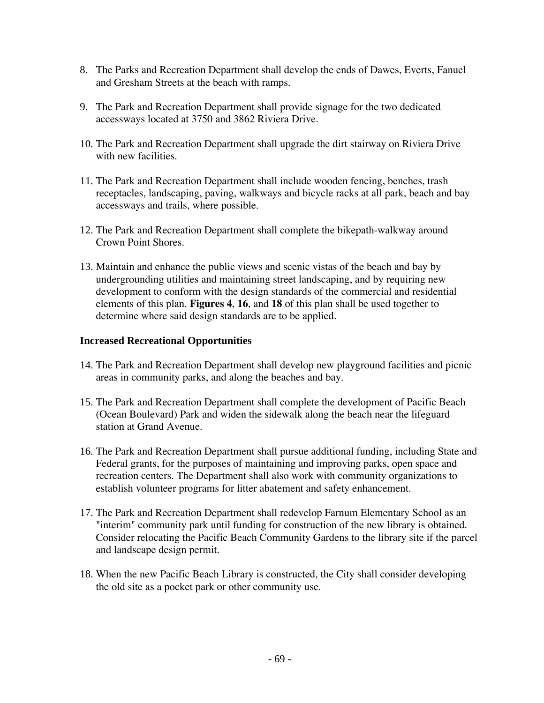- 8. The Parks and Recreation Department shall develop the ends of Dawes, Everts, Fanuel and Gresham Streets at the beach with ramps.
- 9. The Park and Recreation Department shall provide signage for the two dedicated accessways located at 3750 and 3862 Riviera Drive.
- 10. The Park and Recreation Department shall upgrade the dirt stairway on Riviera Drive with new facilities.
- 11. The Park and Recreation Department shall include wooden fencing, benches, trash receptacles, landscaping, paving, walkways and bicycle racks at all park, beach and bay accessways and trails, where possible.
- 12. The Park and Recreation Department shall complete the bikepath-walkway around Crown Point Shores.
- 13. Maintain and enhance the public views and scenic vistas of the beach and bay by undergrounding utilities and maintaining street landscaping, and by requiring new development to conform with the design standards of the commercial and residential elements of this plan. **Figures 4**, **16**, and **18** of this plan shall be used together to determine where said design standards are to be applied.

### **Increased Recreational Opportunities**

- 14. The Park and Recreation Department shall develop new playground facilities and picnic areas in community parks, and along the beaches and bay.
- 15. The Park and Recreation Department shall complete the development of Pacific Beach (Ocean Boulevard) Park and widen the sidewalk along the beach near the lifeguard station at Grand Avenue.
- 16. The Park and Recreation Department shall pursue additional funding, including State and Federal grants, for the purposes of maintaining and improving parks, open space and recreation centers. The Department shall also work with community organizations to establish volunteer programs for litter abatement and safety enhancement.
- 17. The Park and Recreation Department shall redevelop Farnum Elementary School as an "interim" community park until funding for construction of the new library is obtained. Consider relocating the Pacific Beach Community Gardens to the library site if the parcel and landscape design permit.
- 18. When the new Pacific Beach Library is constructed, the City shall consider developing the old site as a pocket park or other community use.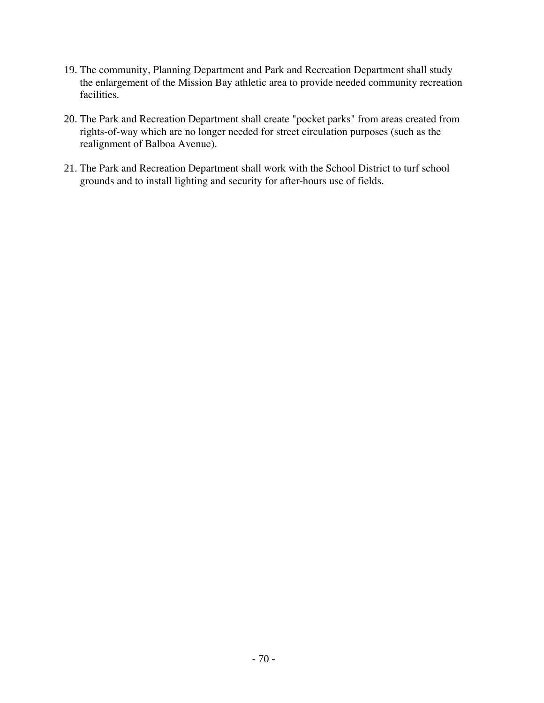- 19. The community, Planning Department and Park and Recreation Department shall study the enlargement of the Mission Bay athletic area to provide needed community recreation facilities.
- 20. The Park and Recreation Department shall create "pocket parks" from areas created from rights-of-way which are no longer needed for street circulation purposes (such as the realignment of Balboa Avenue).
- 21. The Park and Recreation Department shall work with the School District to turf school grounds and to install lighting and security for after-hours use of fields.